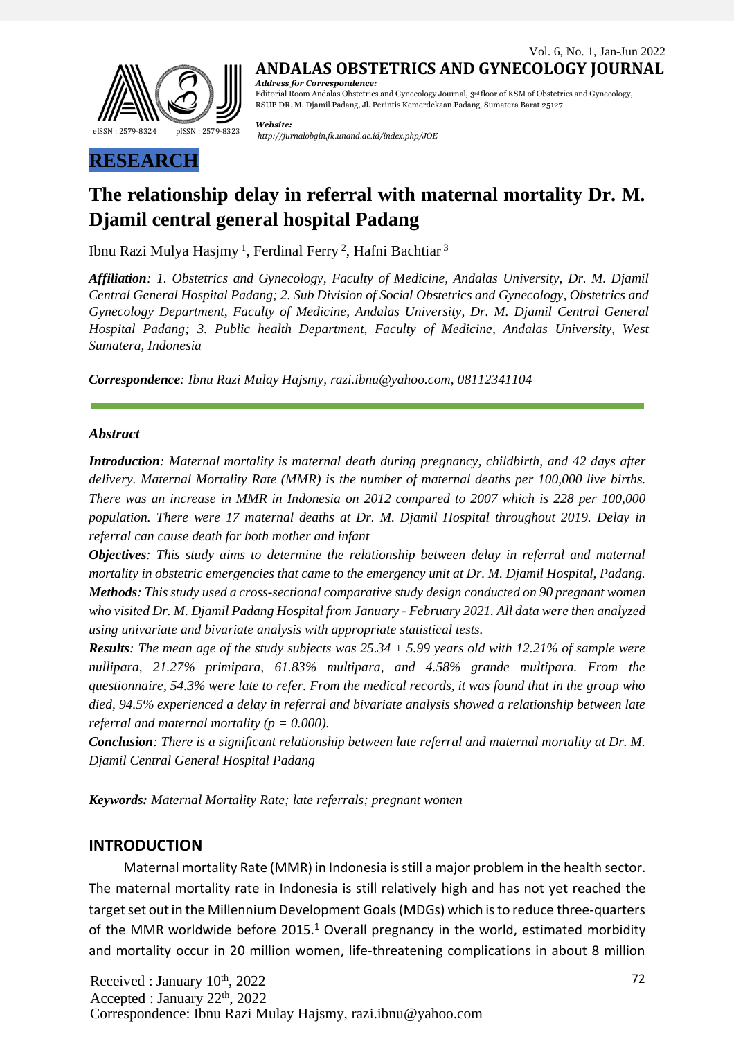

RSUP DR. M. Djamil Padang, Jl. Perintis Kemerdekaan Padang, Sumatera Barat 25127

*Website: <http://jurnalobgin.fk.unand.ac.id/index.php/JOE>* eISSN : 2579-8324 pISSN : 2579-8323

# **RESEARCH**

## **The relationship delay in referral with maternal mortality Dr. M. Djamil central general hospital Padang**

Ibnu Razi Mulya Hasjmy<sup>1</sup>, Ferdinal Ferry<sup>2</sup>, Hafni Bachtiar<sup>3</sup>

*Affiliation: 1. Obstetrics and Gynecology, Faculty of Medicine, Andalas University, Dr. M. Djamil Central General Hospital Padang; 2. Sub Division of Social Obstetrics and Gynecology, Obstetrics and Gynecology Department, Faculty of Medicine, Andalas University, Dr. M. Djamil Central General Hospital Padang; 3. Public health Department, Faculty of Medicine, Andalas University, West Sumatera, Indonesia*

*Correspondence: Ibnu Razi Mulay Hajsmy, [razi.ibnu@yahoo.com,](mailto:razi.ibnu@yahoo.com) 08112341104*

#### *Abstract*

*Introduction: Maternal mortality is maternal death during pregnancy, childbirth, and 42 days after delivery. Maternal Mortality Rate (MMR) is the number of maternal deaths per 100,000 live births. There was an increase in MMR in Indonesia on 2012 compared to 2007 which is 228 per 100,000 population. There were 17 maternal deaths at Dr. M. Djamil Hospital throughout 2019. Delay in referral can cause death for both mother and infant*

*Objectives: This study aims to determine the relationship between delay in referral and maternal mortality in obstetric emergencies that came to the emergency unit at Dr. M. Djamil Hospital, Padang. Methods: This study used a cross-sectional comparative study design conducted on 90 pregnant women who visited Dr. M. Djamil Padang Hospital from January - February 2021. All data were then analyzed using univariate and bivariate analysis with appropriate statistical tests.*

**Results:** The mean age of the study subjects was  $25.34 \pm 5.99$  years old with 12.21% of sample were *nullipara, 21.27% primipara, 61.83% multipara, and 4.58% grande multipara. From the* questionnaire, 54.3% were late to refer. From the medical records, it was found that in the group who *died, 94.5% experienced a delay in referral and bivariate analysis showed a relationship between late referral and maternal mortality*  $(p = 0.000)$ .

*Conclusion: There is a significant relationship between late referral and maternal mortality at Dr. M. Djamil Central General Hospital Padang*

*Keywords: Maternal Mortality Rate; late referrals; pregnant women*

#### **INTRODUCTION**

Maternal mortality Rate (MMR) in Indonesia isstill a major problem in the health sector. The maternal mortality rate in Indonesia is still relatively high and has not yet reached the target set out in the Millennium Development Goals (MDGs) which is to reduce three-quarters of the MMR worldwide before  $2015<sup>1</sup>$  Overall pregnancy in the world, estimated morbidity and mortality occur in 20 million women, life-threatening complications in about 8 million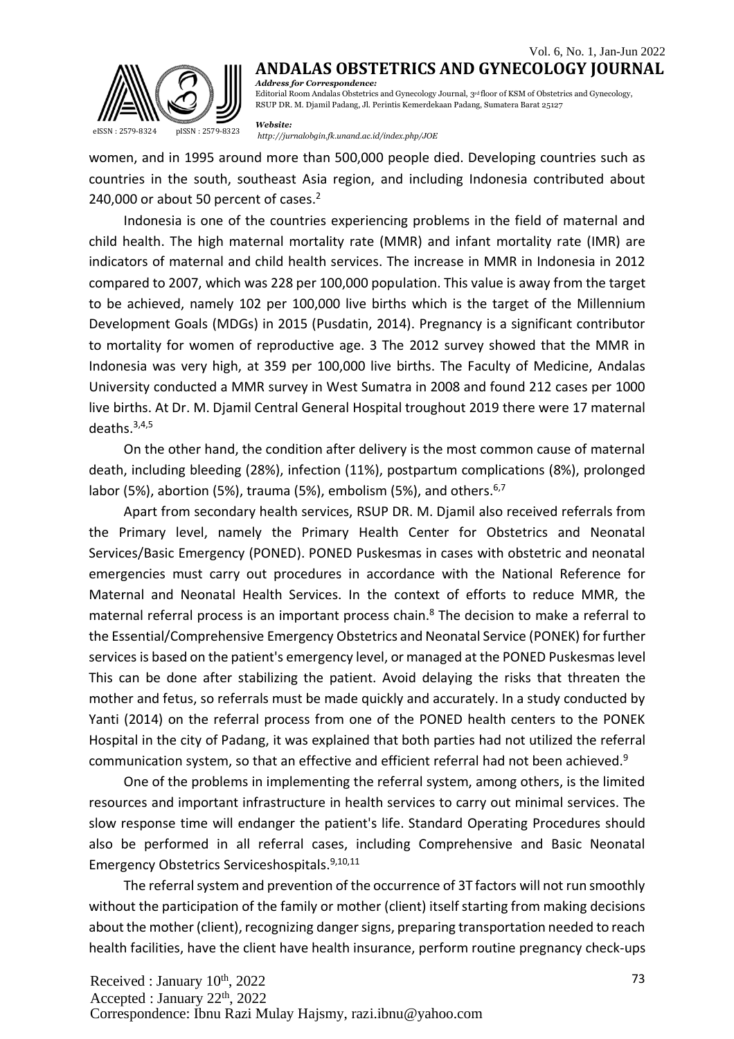

RSUP DR. M. Djamil Padang, Jl. Perintis Kemerdekaan Padang, Sumatera Barat 25127

*Website:*

*<http://jurnalobgin.fk.unand.ac.id/index.php/JOE>* eISSN : 2579-8324 pISSN : 2579-8323

women, and in 1995 around more than 500,000 people died. Developing countries such as countries in the south, southeast Asia region, and including Indonesia contributed about 240,000 or about 50 percent of cases.<sup>2</sup>

Indonesia is one of the countries experiencing problems in the field of maternal and child health. The high maternal mortality rate (MMR) and infant mortality rate (IMR) are indicators of maternal and child health services. The increase in MMR in Indonesia in 2012 compared to 2007, which was 228 per 100,000 population. This value is away from the target to be achieved, namely 102 per 100,000 live births which is the target of the Millennium Development Goals (MDGs) in 2015 (Pusdatin, 2014). Pregnancy is a significant contributor to mortality for women of reproductive age. 3 The 2012 survey showed that the MMR in Indonesia was very high, at 359 per 100,000 live births. The Faculty of Medicine, Andalas University conducted a MMR survey in West Sumatra in 2008 and found 212 cases per 1000 live births. At Dr. M. Djamil Central General Hospital troughout 2019 there were 17 maternal deaths.3,4,5

On the other hand, the condition after delivery is the most common cause of maternal death, including bleeding (28%), infection (11%), postpartum complications (8%), prolonged labor (5%), abortion (5%), trauma (5%), embolism (5%), and others.  $6,7$ 

Apart from secondary health services, RSUP DR. M. Djamil also received referrals from the Primary level, namely the Primary Health Center for Obstetrics and Neonatal Services/Basic Emergency (PONED). PONED Puskesmas in cases with obstetric and neonatal emergencies must carry out procedures in accordance with the National Reference for Maternal and Neonatal Health Services. In the context of efforts to reduce MMR, the maternal referral process is an important process chain.<sup>8</sup> The decision to make a referral to the Essential/Comprehensive Emergency Obstetrics and Neonatal Service (PONEK) forfurther services is based on the patient's emergency level, or managed at the PONED Puskesmas level This can be done after stabilizing the patient. Avoid delaying the risks that threaten the mother and fetus, so referrals must be made quickly and accurately. In a study conducted by Yanti (2014) on the referral process from one of the PONED health centers to the PONEK Hospital in the city of Padang, it was explained that both parties had not utilized the referral communication system, so that an effective and efficient referral had not been achieved.<sup>9</sup>

One of the problems in implementing the referral system, among others, is the limited resources and important infrastructure in health services to carry out minimal services. The slow response time will endanger the patient's life. Standard Operating Procedures should also be performed in all referral cases, including Comprehensive and Basic Neonatal Emergency Obstetrics Serviceshospitals.9,10,11

The referral system and prevention of the occurrence of 3T factors will not run smoothly without the participation of the family or mother (client) itself starting from making decisions about the mother (client), recognizing danger signs, preparing transportation needed to reach health facilities, have the client have health insurance, perform routine pregnancy check-ups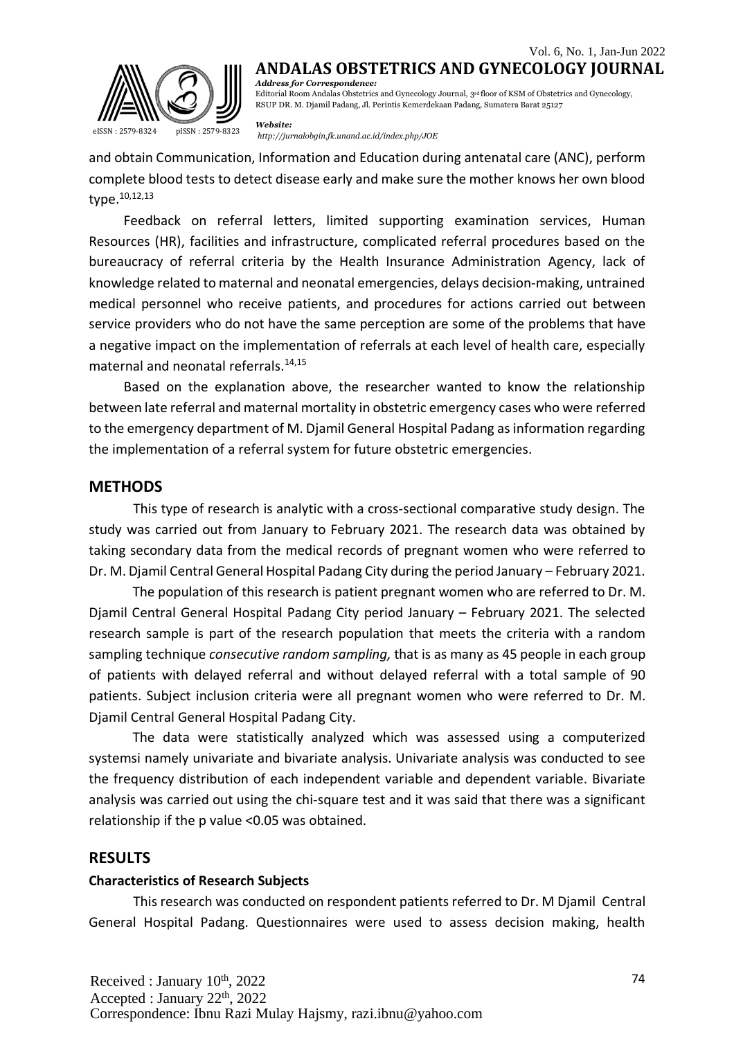

RSUP DR. M. Djamil Padang, Jl. Perintis Kemerdekaan Padang, Sumatera Barat 25127

*Website:*

*<http://jurnalobgin.fk.unand.ac.id/index.php/JOE>* eISSN : 2579-8324 pISSN : 2579-8323

and obtain Communication, Information and Education during antenatal care (ANC), perform complete blood tests to detect disease early and make sure the mother knows her own blood type.10,12,13

Feedback on referral letters, limited supporting examination services, Human Resources (HR), facilities and infrastructure, complicated referral procedures based on the bureaucracy of referral criteria by the Health Insurance Administration Agency, lack of knowledge related to maternal and neonatal emergencies, delays decision-making, untrained medical personnel who receive patients, and procedures for actions carried out between service providers who do not have the same perception are some of the problems that have a negative impact on the implementation of referrals at each level of health care, especially maternal and neonatal referrals.14,15

Based on the explanation above, the researcher wanted to know the relationship between late referral and maternal mortality in obstetric emergency cases who were referred to the emergency department of M. Diamil General Hospital Padang as information regarding the implementation of a referral system for future obstetric emergencies.

#### **METHODS**

This type of research is analytic with a cross-sectional comparative study design. The study was carried out from January to February 2021. The research data was obtained by taking secondary data from the medical records of pregnant women who were referred to Dr. M. Djamil Central General Hospital Padang City during the period January – February 2021.

The population of this research is patient pregnant women who are referred to Dr. M. Djamil Central General Hospital Padang City period January – February 2021. The selected research sample is part of the research population that meets the criteria with a random sampling technique *consecutive random sampling,* that is as many as 45 people in each group of patients with delayed referral and without delayed referral with a total sample of 90 patients. Subject inclusion criteria were all pregnant women who were referred to Dr. M. Djamil Central General Hospital Padang City.

The data were statistically analyzed which was assessed using a computerized systemsi namely univariate and bivariate analysis. Univariate analysis was conducted to see the frequency distribution of each independent variable and dependent variable. Bivariate analysis was carried out using the chi-square test and it was said that there was a significant relationship if the p value <0.05 was obtained.

#### **RESULTS**

#### **Characteristics of Research Subjects**

This research was conducted on respondent patients referred to Dr. M Djamil Central General Hospital Padang. Questionnaires were used to assess decision making, health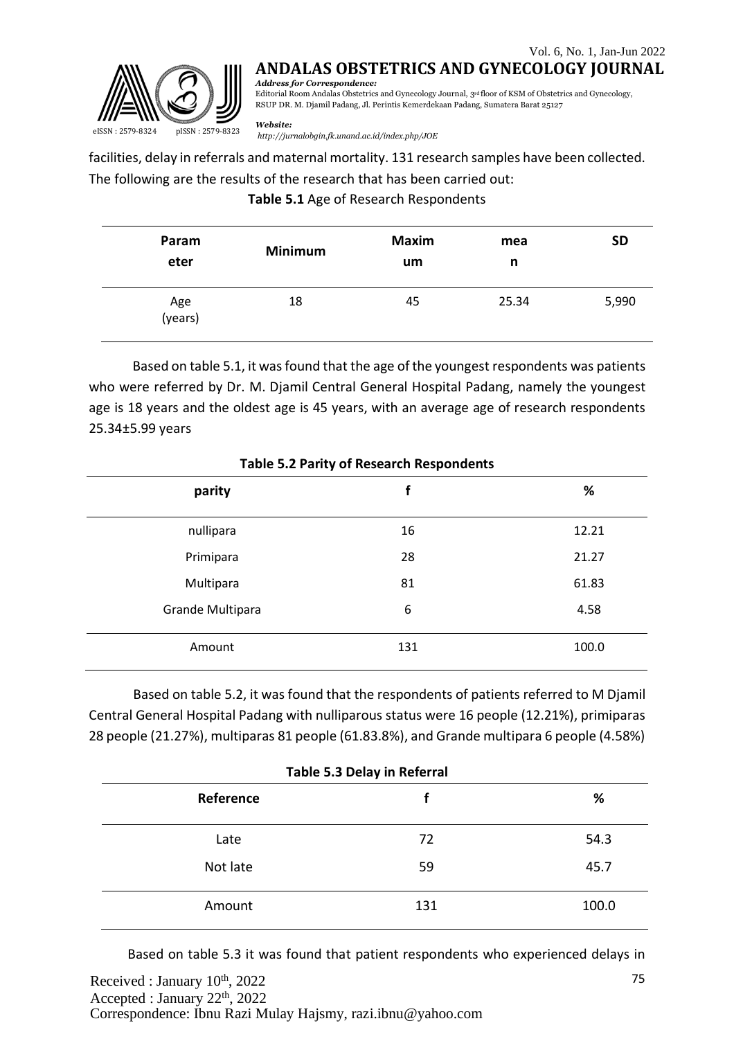

**ANDALAS OBSTETRICS AND GYNECOLOGY JOURNAL**

*Address for Correspondence:* Editorial Room Andalas Obstetrics and Gynecology Journal, 3rd floor of KSM of Obstetrics and Gynecology, RSUP DR. M. Djamil Padang, Jl. Perintis Kemerdekaan Padang, Sumatera Barat 25127

*Website:*

*<http://jurnalobgin.fk.unand.ac.id/index.php/JOE>* eISSN : 2579-8324 pISSN : 2579-8323

facilities, delay in referrals and maternal mortality. 131 research samples have been collected. The following are the results of the research that has been carried out:

#### **Table 5.1** Age of Research Respondents

| Param<br>eter  | <b>Minimum</b> | <b>Maxim</b><br>um | mea<br>n | <b>SD</b> |
|----------------|----------------|--------------------|----------|-----------|
| Age<br>(years) | 18             | 45                 | 25.34    | 5,990     |

Based on table 5.1, it wasfound that the age of the youngest respondents was patients who were referred by Dr. M. Djamil Central General Hospital Padang, namely the youngest age is 18 years and the oldest age is 45 years, with an average age of research respondents 25.34±5.99 years

| Table 5.2 T anty of Research Respondents |     |       |  |  |
|------------------------------------------|-----|-------|--|--|
| parity                                   | f   | %     |  |  |
| nullipara                                | 16  | 12.21 |  |  |
| Primipara                                | 28  | 21.27 |  |  |
| Multipara                                | 81  | 61.83 |  |  |
| Grande Multipara                         | 6   | 4.58  |  |  |
| Amount                                   | 131 | 100.0 |  |  |

**Table 5.2 Parity of Research Respondents**

Based on table 5.2, it was found that the respondents of patients referred to M Djamil Central General Hospital Padang with nulliparous status were 16 people (12.21%), primiparas 28 people (21.27%), multiparas 81 people (61.83.8%), and Grande multipara 6 people (4.58%)

| Table 5.3 Delay in Referral |     |       |  |
|-----------------------------|-----|-------|--|
| Reference                   |     | %     |  |
| Late                        | 72  | 54.3  |  |
| Not late                    | 59  | 45.7  |  |
| Amount                      | 131 | 100.0 |  |

Based on table 5.3 it was found that patient respondents who experienced delays in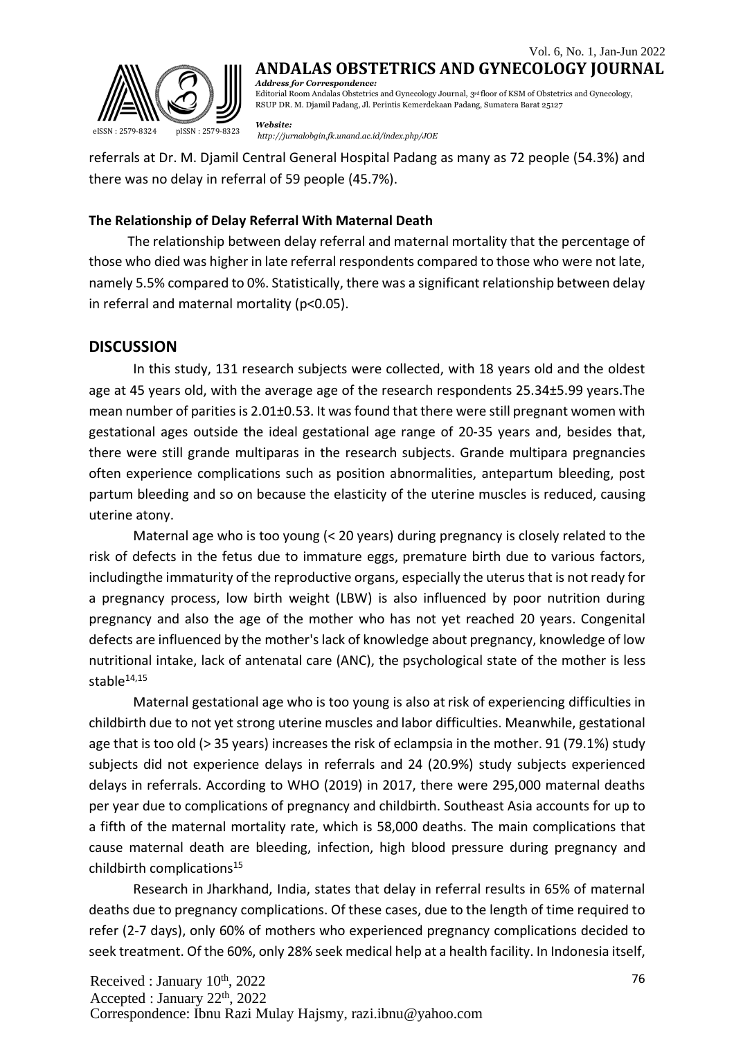

RSUP DR. M. Djamil Padang, Jl. Perintis Kemerdekaan Padang, Sumatera Barat 25127

*Website: <http://jurnalobgin.fk.unand.ac.id/index.php/JOE>* eISSN : 2579-8324 pISSN : 2579-8323

referrals at Dr. M. Djamil Central General Hospital Padang as many as 72 people (54.3%) and there was no delay in referral of 59 people (45.7%).

#### **The Relationship of Delay Referral With Maternal Death**

The relationship between delay referral and maternal mortality that the percentage of those who died was higher in late referral respondents compared to those who were not late, namely 5.5% compared to 0%. Statistically, there was a significant relationship between delay in referral and maternal mortality (p<0.05).

#### **DISCUSSION**

In this study, 131 research subjects were collected, with 18 years old and the oldest age at 45 years old, with the average age of the research respondents 25.34±5.99 years.The mean number of parities is 2.01±0.53. It was found that there were still pregnant women with gestational ages outside the ideal gestational age range of 20-35 years and, besides that, there were still grande multiparas in the research subjects. Grande multipara pregnancies often experience complications such as position abnormalities, antepartum bleeding, post partum bleeding and so on because the elasticity of the uterine muscles is reduced, causing uterine atony.

Maternal age who is too young (< 20 years) during pregnancy is closely related to the risk of defects in the fetus due to immature eggs, premature birth due to various factors, includingthe immaturity of the reproductive organs, especially the uterusthat is not ready for a pregnancy process, low birth weight (LBW) is also influenced by poor nutrition during pregnancy and also the age of the mother who has not yet reached 20 years. Congenital defects are influenced by the mother'slack of knowledge about pregnancy, knowledge of low nutritional intake, lack of antenatal care (ANC), the psychological state of the mother is less stable $14,15$ 

Maternal gestational age who is too young is also at risk of experiencing difficulties in childbirth due to not yet strong uterine muscles and labor difficulties. Meanwhile, gestational age that is too old (> 35 years) increases the risk of eclampsia in the mother. 91 (79.1%) study subjects did not experience delays in referrals and 24 (20.9%) study subjects experienced delays in referrals. According to WHO (2019) in 2017, there were 295,000 maternal deaths per year due to complications of pregnancy and childbirth. Southeast Asia accounts for up to a fifth of the maternal mortality rate, which is 58,000 deaths. The main complications that cause maternal death are bleeding, infection, high blood pressure during pregnancy and childbirth complications<sup>15</sup>

Research in Jharkhand, India, states that delay in referral results in 65% of maternal deaths due to pregnancy complications. Of these cases, due to the length of time required to refer (2-7 days), only 60% of mothers who experienced pregnancy complications decided to seek treatment. Of the 60%, only 28% seek medical help at a health facility. In Indonesia itself,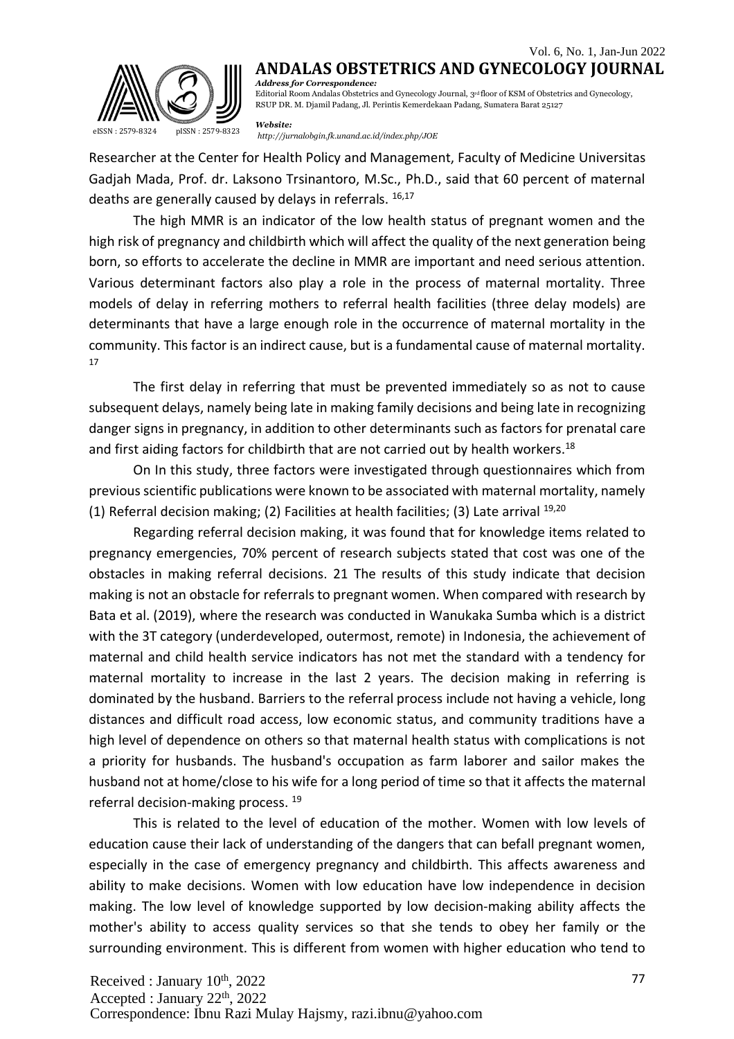

**ANDALAS OBSTETRICS AND GYNECOLOGY JOURNAL** *Address for Correspondence:*

Editorial Room Andalas Obstetrics and Gynecology Journal, 3rd floor of KSM of Obstetrics and Gynecology, RSUP DR. M. Djamil Padang, Jl. Perintis Kemerdekaan Padang, Sumatera Barat 25127

*Website: <http://jurnalobgin.fk.unand.ac.id/index.php/JOE>* eISSN : 2579-8324 pISSN : 2579-8323

Researcher at the Center for Health Policy and Management, Faculty of Medicine Universitas Gadjah Mada, Prof. dr. Laksono Trsinantoro, M.Sc., Ph.D., said that 60 percent of maternal deaths are generally caused by delays in referrals. 16,17

The high MMR is an indicator of the low health status of pregnant women and the high risk of pregnancy and childbirth which will affect the quality of the next generation being born, so efforts to accelerate the decline in MMR are important and need serious attention. Various determinant factors also play a role in the process of maternal mortality. Three models of delay in referring mothers to referral health facilities (three delay models) are determinants that have a large enough role in the occurrence of maternal mortality in the community. This factor is an indirect cause, but is a fundamental cause of maternal mortality. 17

The first delay in referring that must be prevented immediately so as not to cause subsequent delays, namely being late in making family decisions and being late in recognizing danger signs in pregnancy, in addition to other determinants such as factors for prenatal care and first aiding factors for childbirth that are not carried out by health workers.<sup>18</sup>

On In this study, three factors were investigated through questionnaires which from previous scientific publications were known to be associated with maternal mortality, namely (1) Referral decision making; (2) Facilities at health facilities; (3) Late arrival  $^{19,20}$ 

Regarding referral decision making, it was found that for knowledge items related to pregnancy emergencies, 70% percent of research subjects stated that cost was one of the obstacles in making referral decisions. 21 The results of this study indicate that decision making is not an obstacle for referrals to pregnant women. When compared with research by Bata et al. (2019), where the research was conducted in Wanukaka Sumba which is a district with the 3T category (underdeveloped, outermost, remote) in Indonesia, the achievement of maternal and child health service indicators has not met the standard with a tendency for maternal mortality to increase in the last 2 years. The decision making in referring is dominated by the husband. Barriers to the referral process include not having a vehicle, long distances and difficult road access, low economic status, and community traditions have a high level of dependence on others so that maternal health status with complications is not a priority for husbands. The husband's occupation as farm laborer and sailor makes the husband not at home/close to his wife for a long period of time so that it affects the maternal referral decision-making process. <sup>19</sup>

This is related to the level of education of the mother. Women with low levels of education cause their lack of understanding of the dangers that can befall pregnant women, especially in the case of emergency pregnancy and childbirth. This affects awareness and ability to make decisions. Women with low education have low independence in decision making. The low level of knowledge supported by low decision-making ability affects the mother's ability to access quality services so that she tends to obey her family or the surrounding environment. This is different from women with higher education who tend to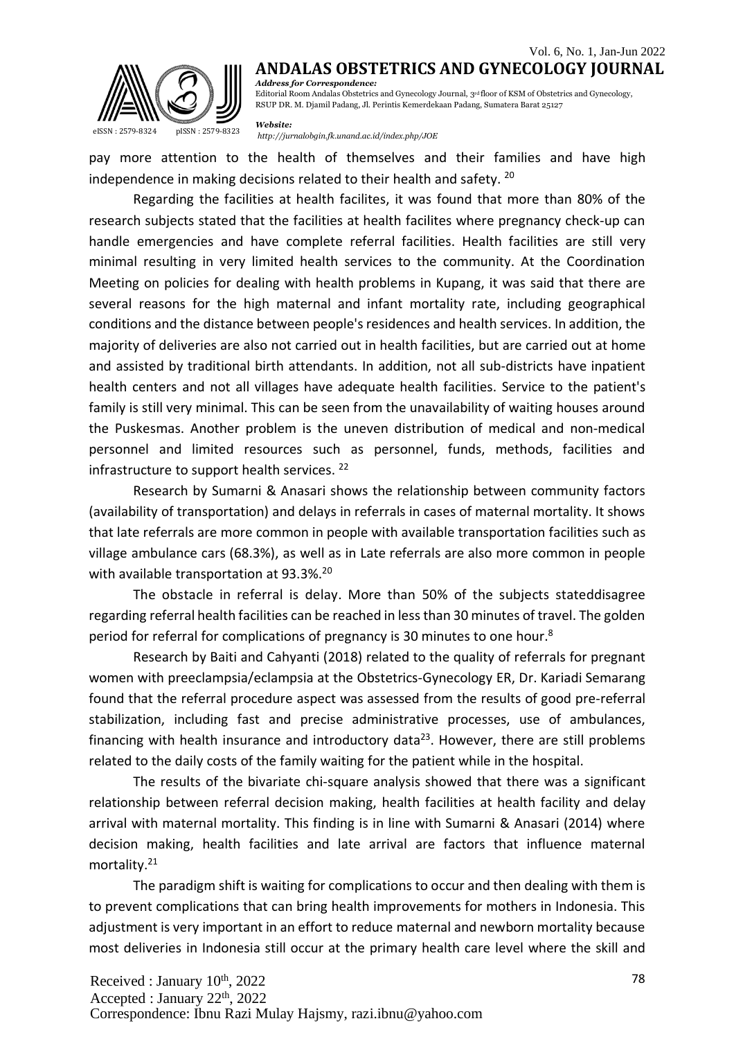

RSUP DR. M. Djamil Padang, Jl. Perintis Kemerdekaan Padang, Sumatera Barat 25127

*Website:*

pay more attention to the health of themselves and their families and have high independence in making decisions related to their health and safety. <sup>20</sup>

Regarding the facilities at health facilites, it was found that more than 80% of the research subjects stated that the facilities at health facilites where pregnancy check-up can handle emergencies and have complete referral facilities. Health facilities are still very minimal resulting in very limited health services to the community. At the Coordination Meeting on policies for dealing with health problems in Kupang, it was said that there are several reasons for the high maternal and infant mortality rate, including geographical conditions and the distance between people's residences and health services. In addition, the majority of deliveries are also not carried out in health facilities, but are carried out at home and assisted by traditional birth attendants. In addition, not all sub-districts have inpatient health centers and not all villages have adequate health facilities. Service to the patient's family is still very minimal. This can be seen from the unavailability of waiting houses around the Puskesmas. Another problem is the uneven distribution of medical and non-medical personnel and limited resources such as personnel, funds, methods, facilities and infrastructure to support health services.<sup>22</sup>

Research by Sumarni & Anasari shows the relationship between community factors (availability of transportation) and delays in referrals in cases of maternal mortality. It shows that late referrals are more common in people with available transportation facilities such as village ambulance cars (68.3%), as well as in Late referrals are also more common in people with available transportation at 93.3%.<sup>20</sup>

The obstacle in referral is delay. More than 50% of the subjects stateddisagree regarding referral health facilities can be reached in lessthan 30 minutes of travel. The golden period for referral for complications of pregnancy is 30 minutes to one hour.<sup>8</sup>

Research by Baiti and Cahyanti (2018) related to the quality of referrals for pregnant women with preeclampsia/eclampsia at the Obstetrics-Gynecology ER, Dr. Kariadi Semarang found that the referral procedure aspect was assessed from the results of good pre-referral stabilization, including fast and precise administrative processes, use of ambulances, financing with health insurance and introductory data<sup>23</sup>. However, there are still problems related to the daily costs of the family waiting for the patient while in the hospital.

The results of the bivariate chi-square analysis showed that there was a significant relationship between referral decision making, health facilities at health facility and delay arrival with maternal mortality. This finding is in line with Sumarni & Anasari (2014) where decision making, health facilities and late arrival are factors that influence maternal mortality.<sup>21</sup>

The paradigm shift is waiting for complications to occur and then dealing with them is to prevent complications that can bring health improvements for mothers in Indonesia. This adjustment is very important in an effort to reduce maternal and newborn mortality because most deliveries in Indonesia still occur at the primary health care level where the skill and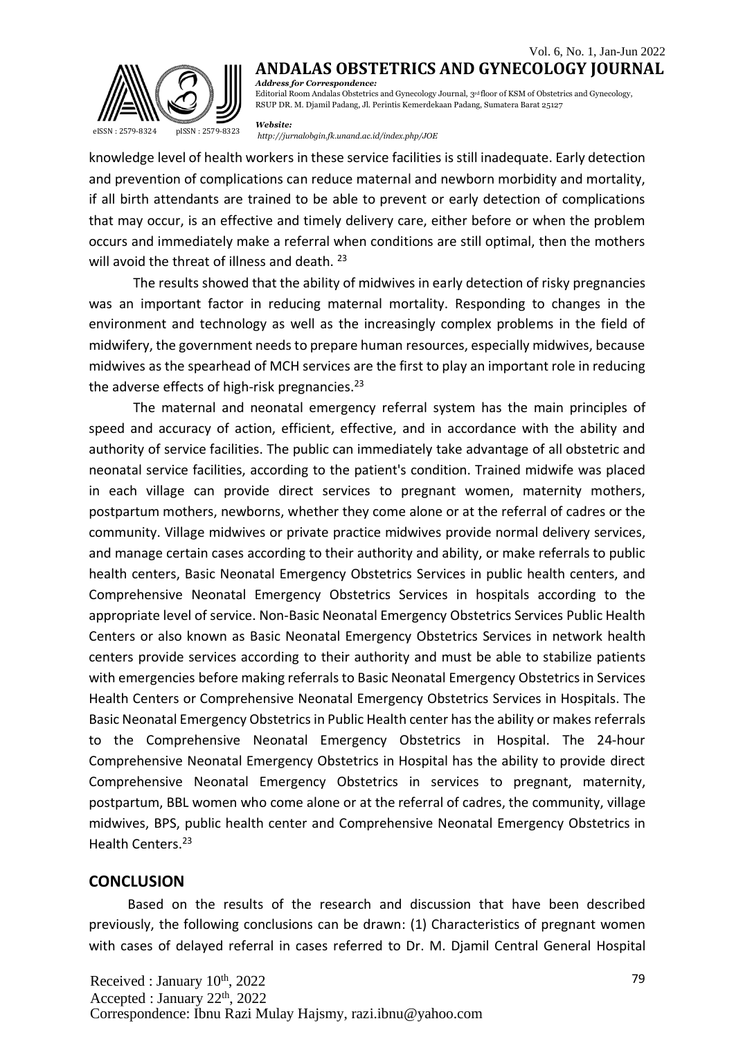

**ANDALAS OBSTETRICS AND GYNECOLOGY JOURNAL** *Address for Correspondence:*

Editorial Room Andalas Obstetrics and Gynecology Journal, 3rd floor of KSM of Obstetrics and Gynecology, RSUP DR. M. Djamil Padang, Jl. Perintis Kemerdekaan Padang, Sumatera Barat 25127

*Website:*

*<http://jurnalobgin.fk.unand.ac.id/index.php/JOE>* eISSN : 2579-8324 pISSN : 2579-8323

knowledge level of health workers in these service facilities isstill inadequate. Early detection and prevention of complications can reduce maternal and newborn morbidity and mortality, if all birth attendants are trained to be able to prevent or early detection of complications that may occur, is an effective and timely delivery care, either before or when the problem occurs and immediately make a referral when conditions are still optimal, then the mothers will avoid the threat of illness and death.<sup>23</sup>

The results showed that the ability of midwives in early detection of risky pregnancies was an important factor in reducing maternal mortality. Responding to changes in the environment and technology as well as the increasingly complex problems in the field of midwifery, the government needsto prepare human resources, especially midwives, because midwives as the spearhead of MCH services are the first to play an important role in reducing the adverse effects of high-risk pregnancies. $23$ 

The maternal and neonatal emergency referral system has the main principles of speed and accuracy of action, efficient, effective, and in accordance with the ability and authority of service facilities. The public can immediately take advantage of all obstetric and neonatal service facilities, according to the patient's condition. Trained midwife was placed in each village can provide direct services to pregnant women, maternity mothers, postpartum mothers, newborns, whether they come alone or at the referral of cadres or the community. Village midwives or private practice midwives provide normal delivery services, and manage certain cases according to their authority and ability, or make referrals to public health centers, Basic Neonatal Emergency Obstetrics Services in public health centers, and Comprehensive Neonatal Emergency Obstetrics Services in hospitals according to the appropriate level of service. Non-Basic Neonatal Emergency Obstetrics Services Public Health Centers or also known as Basic Neonatal Emergency Obstetrics Services in network health centers provide services according to their authority and must be able to stabilize patients with emergencies before making referrals to Basic Neonatal Emergency Obstetrics in Services Health Centers or Comprehensive Neonatal Emergency Obstetrics Services in Hospitals. The Basic Neonatal Emergency Obstetrics in Public Health center hasthe ability or makes referrals to the Comprehensive Neonatal Emergency Obstetrics in Hospital. The 24-hour Comprehensive Neonatal Emergency Obstetrics in Hospital has the ability to provide direct Comprehensive Neonatal Emergency Obstetrics in services to pregnant, maternity, postpartum, BBL women who come alone or at the referral of cadres, the community, village midwives, BPS, public health center and Comprehensive Neonatal Emergency Obstetrics in Health Centers.<sup>23</sup>

#### **CONCLUSION**

Based on the results of the research and discussion that have been described previously, the following conclusions can be drawn: (1) Characteristics of pregnant women with cases of delayed referral in cases referred to Dr. M. Djamil Central General Hospital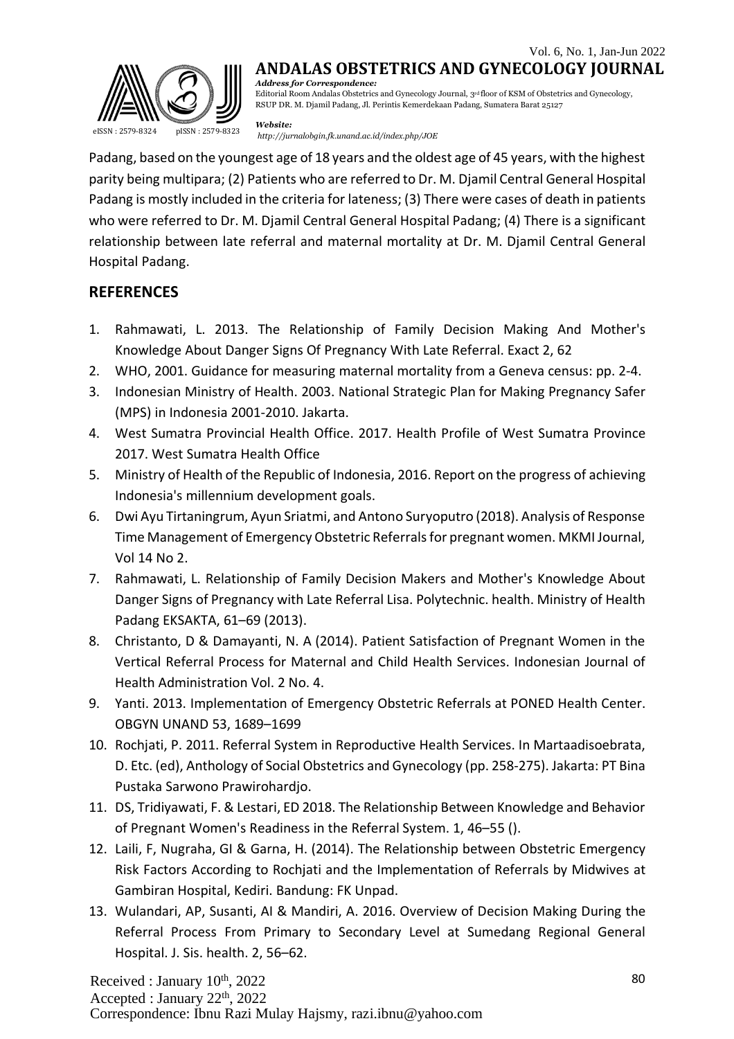

RSUP DR. M. Djamil Padang, Jl. Perintis Kemerdekaan Padang, Sumatera Barat 25127

*Website:*

*mensite:*<br><http://jurnalobgin.fk.unand.ac.id/index.php/JOE>

Padang, based on the youngest age of 18 years and the oldest age of 45 years, with the highest parity being multipara; (2) Patients who are referred to Dr. M. Djamil Central General Hospital Padang is mostly included in the criteria for lateness; (3) There were cases of death in patients who were referred to Dr. M. Djamil Central General Hospital Padang; (4) There is a significant relationship between late referral and maternal mortality at Dr. M. Djamil Central General Hospital Padang.

### **REFERENCES**

- 1. Rahmawati, L. 2013. The Relationship of Family Decision Making And Mother's Knowledge About Danger Signs Of Pregnancy With Late Referral. Exact 2, 62
- 2. WHO, 2001. Guidance for measuring maternal mortality from a Geneva census: pp. 2-4.
- 3. Indonesian Ministry of Health. 2003. National Strategic Plan for Making Pregnancy Safer (MPS) in Indonesia 2001-2010. Jakarta.
- 4. West Sumatra Provincial Health Office. 2017. Health Profile of West Sumatra Province 2017. West Sumatra Health Office
- 5. Ministry of Health of the Republic of Indonesia, 2016. Report on the progress of achieving Indonesia's millennium development goals.
- 6. Dwi Ayu Tirtaningrum, Ayun Sriatmi, and Antono Suryoputro (2018). Analysis of Response Time Management of Emergency Obstetric Referralsfor pregnant women. MKMI Journal, Vol 14 No 2.
- 7. Rahmawati, L. Relationship of Family Decision Makers and Mother's Knowledge About Danger Signs of Pregnancy with Late Referral Lisa. Polytechnic. health. Ministry of Health Padang EKSAKTA, 61–69 (2013).
- 8. Christanto, D & Damayanti, N. A (2014). Patient Satisfaction of Pregnant Women in the Vertical Referral Process for Maternal and Child Health Services. Indonesian Journal of Health Administration Vol. 2 No. 4.
- 9. Yanti. 2013. Implementation of Emergency Obstetric Referrals at PONED Health Center. OBGYN UNAND 53, 1689–1699
- 10. Rochjati, P. 2011. Referral System in Reproductive Health Services. In Martaadisoebrata, D. Etc. (ed), Anthology of Social Obstetrics and Gynecology (pp. 258-275). Jakarta: PT Bina Pustaka Sarwono Prawirohardjo.
- 11. DS, Tridiyawati, F. & Lestari, ED 2018. The Relationship Between Knowledge and Behavior of Pregnant Women's Readiness in the Referral System. 1, 46–55 ().
- 12. Laili, F, Nugraha, GI & Garna, H. (2014). The Relationship between Obstetric Emergency Risk Factors According to Rochjati and the Implementation of Referrals by Midwives at Gambiran Hospital, Kediri. Bandung: FK Unpad.
- 13. Wulandari, AP, Susanti, AI & Mandiri, A. 2016. Overview of Decision Making During the Referral Process From Primary to Secondary Level at Sumedang Regional General Hospital. J. Sis. health. 2, 56–62.